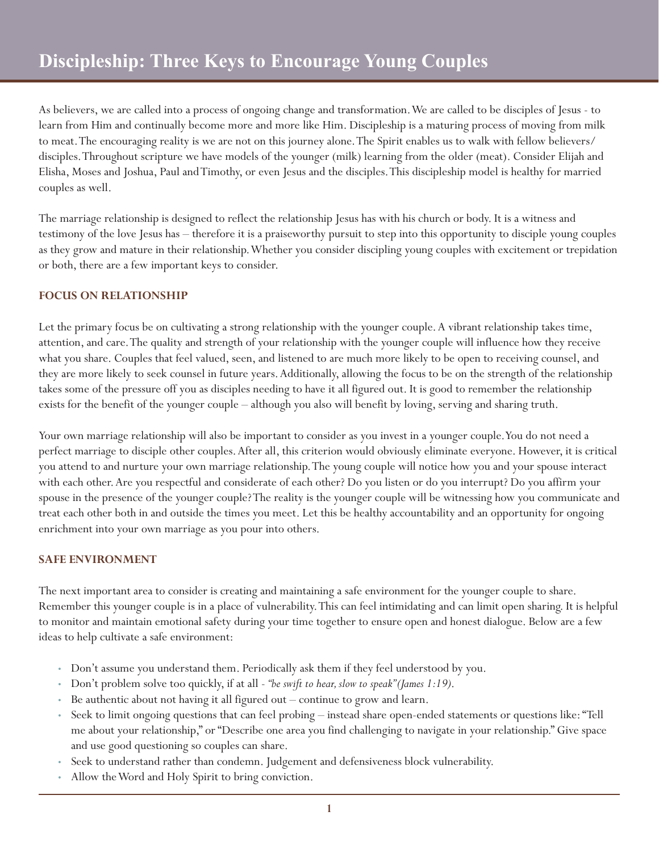As believers, we are called into a process of ongoing change and transformation. We are called to be disciples of Jesus - to learn from Him and continually become more and more like Him. Discipleship is a maturing process of moving from milk to meat. The encouraging reality is we are not on this journey alone. The Spirit enables us to walk with fellow believers/ disciples. Throughout scripture we have models of the younger (milk) learning from the older (meat). Consider Elijah and Elisha, Moses and Joshua, Paul and Timothy, or even Jesus and the disciples. This discipleship model is healthy for married couples as well.

The marriage relationship is designed to reflect the relationship Jesus has with his church or body. It is a witness and testimony of the love Jesus has – therefore it is a praiseworthy pursuit to step into this opportunity to disciple young couples as they grow and mature in their relationship. Whether you consider discipling young couples with excitement or trepidation or both, there are a few important keys to consider.

## **FOCUS ON RELATIONSHIP**

Let the primary focus be on cultivating a strong relationship with the younger couple. A vibrant relationship takes time, attention, and care. The quality and strength of your relationship with the younger couple will influence how they receive what you share. Couples that feel valued, seen, and listened to are much more likely to be open to receiving counsel, and they are more likely to seek counsel in future years. Additionally, allowing the focus to be on the strength of the relationship takes some of the pressure off you as disciples needing to have it all figured out. It is good to remember the relationship exists for the benefit of the younger couple – although you also will benefit by loving, serving and sharing truth.

Your own marriage relationship will also be important to consider as you invest in a younger couple. You do not need a perfect marriage to disciple other couples. After all, this criterion would obviously eliminate everyone. However, it is critical you attend to and nurture your own marriage relationship. The young couple will notice how you and your spouse interact with each other. Are you respectful and considerate of each other? Do you listen or do you interrupt? Do you affirm your spouse in the presence of the younger couple? The reality is the younger couple will be witnessing how you communicate and treat each other both in and outside the times you meet. Let this be healthy accountability and an opportunity for ongoing enrichment into your own marriage as you pour into others.

## **SAFE ENVIRONMENT**

The next important area to consider is creating and maintaining a safe environment for the younger couple to share. Remember this younger couple is in a place of vulnerability. This can feel intimidating and can limit open sharing. It is helpful to monitor and maintain emotional safety during your time together to ensure open and honest dialogue. Below are a few ideas to help cultivate a safe environment:

- Don't assume you understand them. Periodically ask them if they feel understood by you.
- Don't problem solve too quickly, if at all *"be swift to hear, slow to speak" (James 1:19)*.
- Be authentic about not having it all figured out continue to grow and learn.
- Seek to limit ongoing questions that can feel probing instead share open-ended statements or questions like: "Tell me about your relationship," or "Describe one area you find challenging to navigate in your relationship." Give space and use good questioning so couples can share.
- Seek to understand rather than condemn. Judgement and defensiveness block vulnerability.
- Allow the Word and Holy Spirit to bring conviction.